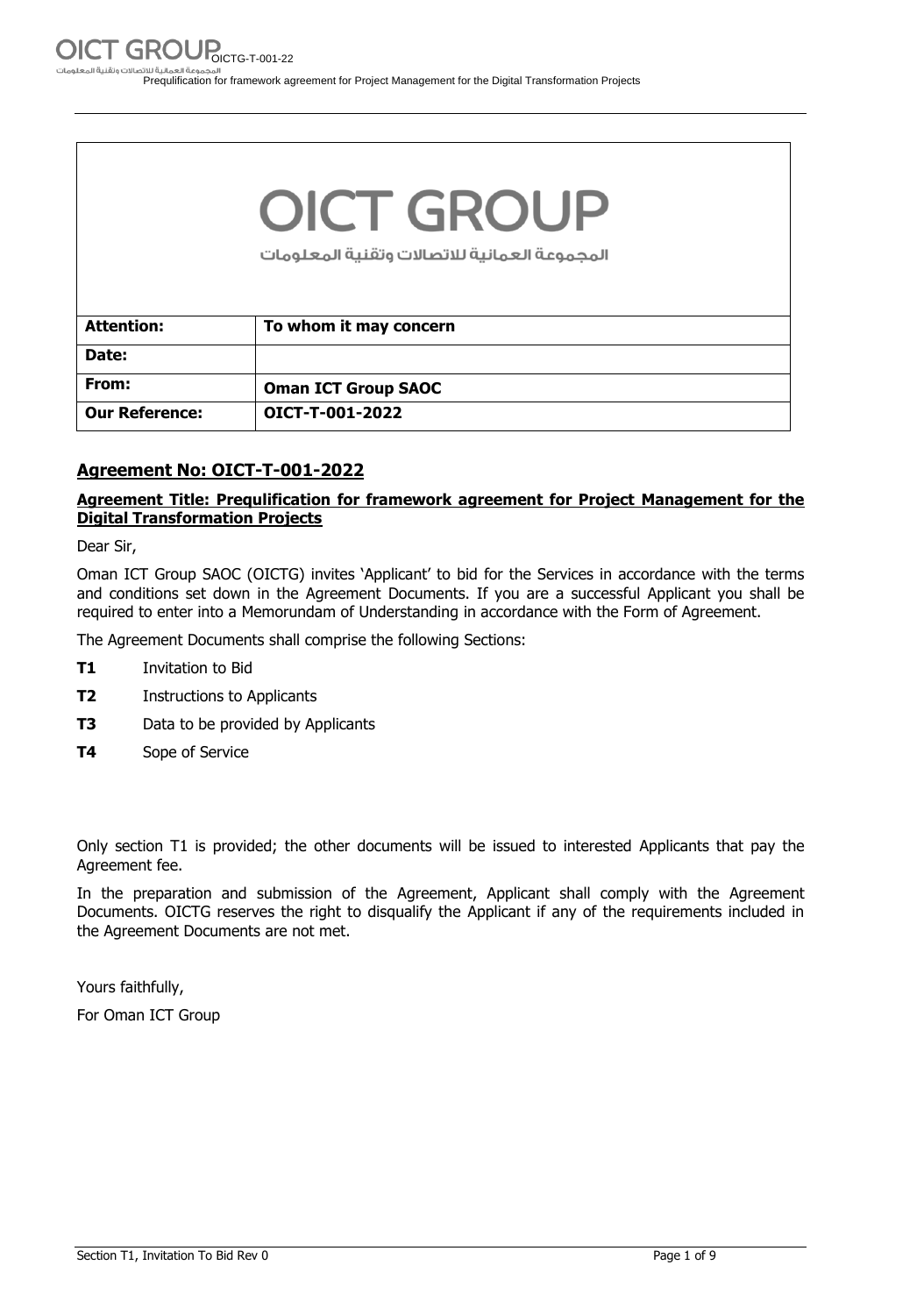# **OICT GROUP**

المجموعة العمانية للاتصالات وتقنية المعلومات

| <b>Attention:</b>     | To whom it may concern     |
|-----------------------|----------------------------|
| Date:                 |                            |
| From:                 | <b>Oman ICT Group SAOC</b> |
| <b>Our Reference:</b> | OICT-T-001-2022            |

#### **Agreement No: OICT-T-001-2022**

#### **Agreement Title: Prequlification for framework agreement for Project Management for the Digital Transformation Projects**

Dear Sir,

Oman ICT Group SAOC (OICTG) invites 'Applicant' to bid for the Services in accordance with the terms and conditions set down in the Agreement Documents. If you are a successful Applicant you shall be required to enter into a Memorundam of Understanding in accordance with the Form of Agreement.

The Agreement Documents shall comprise the following Sections:

- **T1** Invitation to Bid
- **T2** Instructions to Applicants
- **T3** Data to be provided by Applicants
- **T4** Sope of Service

Only section T1 is provided; the other documents will be issued to interested Applicants that pay the Agreement fee.

In the preparation and submission of the Agreement, Applicant shall comply with the Agreement Documents. OICTG reserves the right to disqualify the Applicant if any of the requirements included in the Agreement Documents are not met.

Yours faithfully,

For Oman ICT Group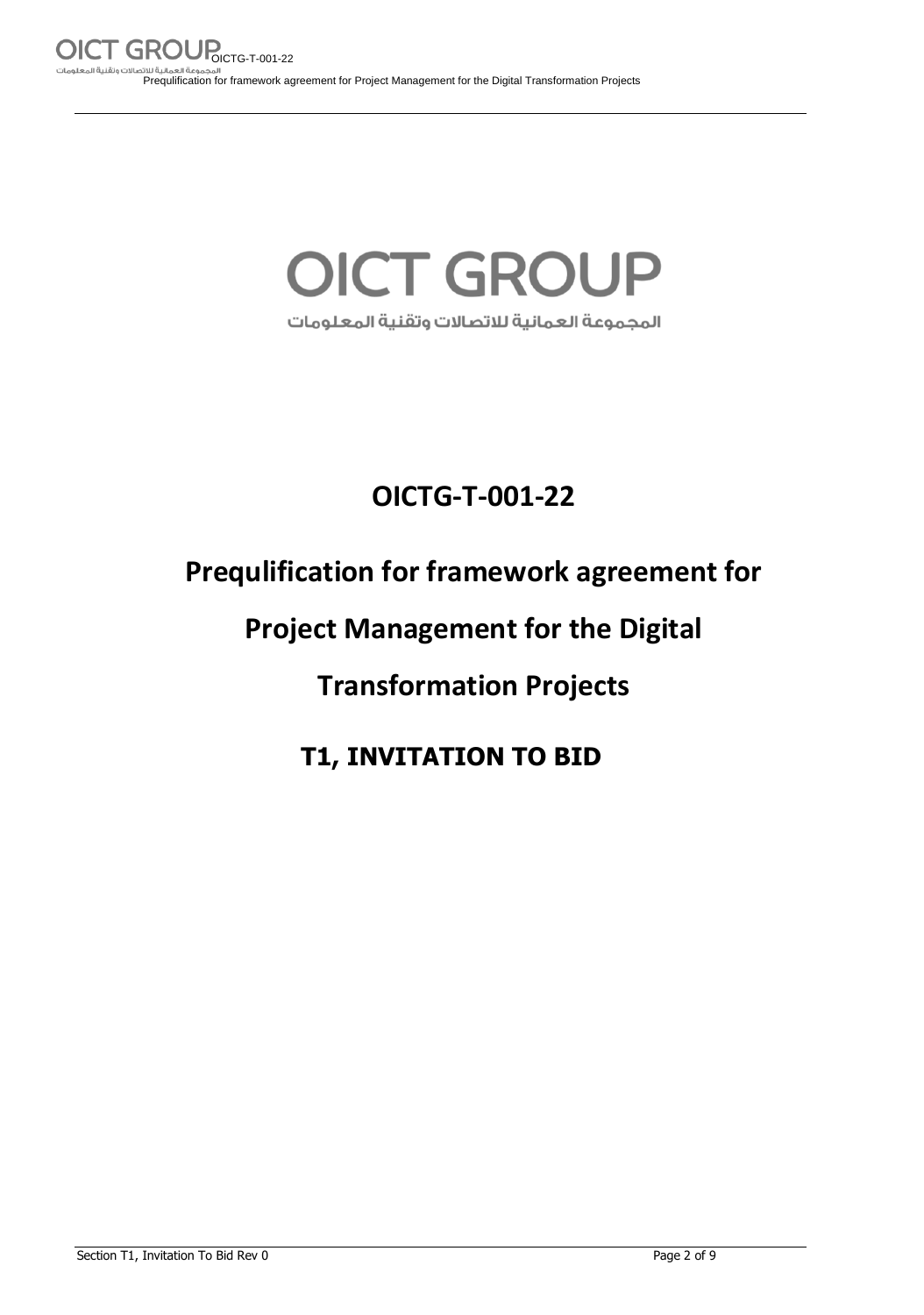## **OICT GROUP** المجموعة العمانية للاتصالات وتقنية المعلومات

## **OICTG-T-001-22**

## **Prequlification for framework agreement for**

## **Project Management for the Digital**

## **Transformation Projects**

### **T1, INVITATION TO BID**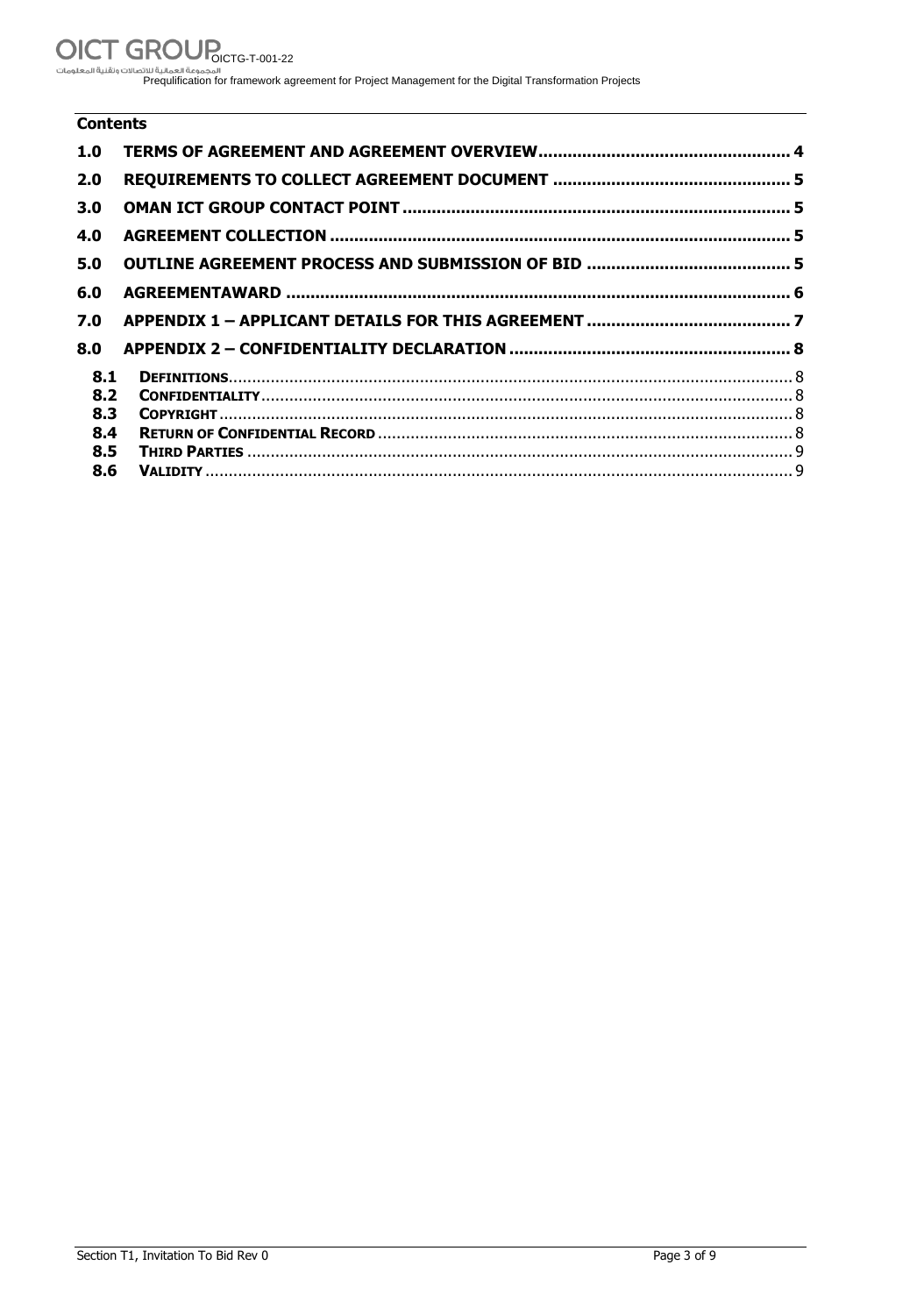## OICT GROUP<sub>OICTG-T-001-22</sub>

الله المحلومات المحلومات المحلومات المحلومات المحلومات .<br>Prequlification for framework agreement for Project Management for the Digital Transformation Projects

#### **Contents**

| 1.0 |  |
|-----|--|
| 2.0 |  |
| 3.0 |  |
| 4.0 |  |
| 5.0 |  |
| 6.0 |  |
| 7.0 |  |
| 8.0 |  |
| 8.1 |  |
| 8.2 |  |
| 8.3 |  |
| 8.4 |  |
| 8.5 |  |
| 8.6 |  |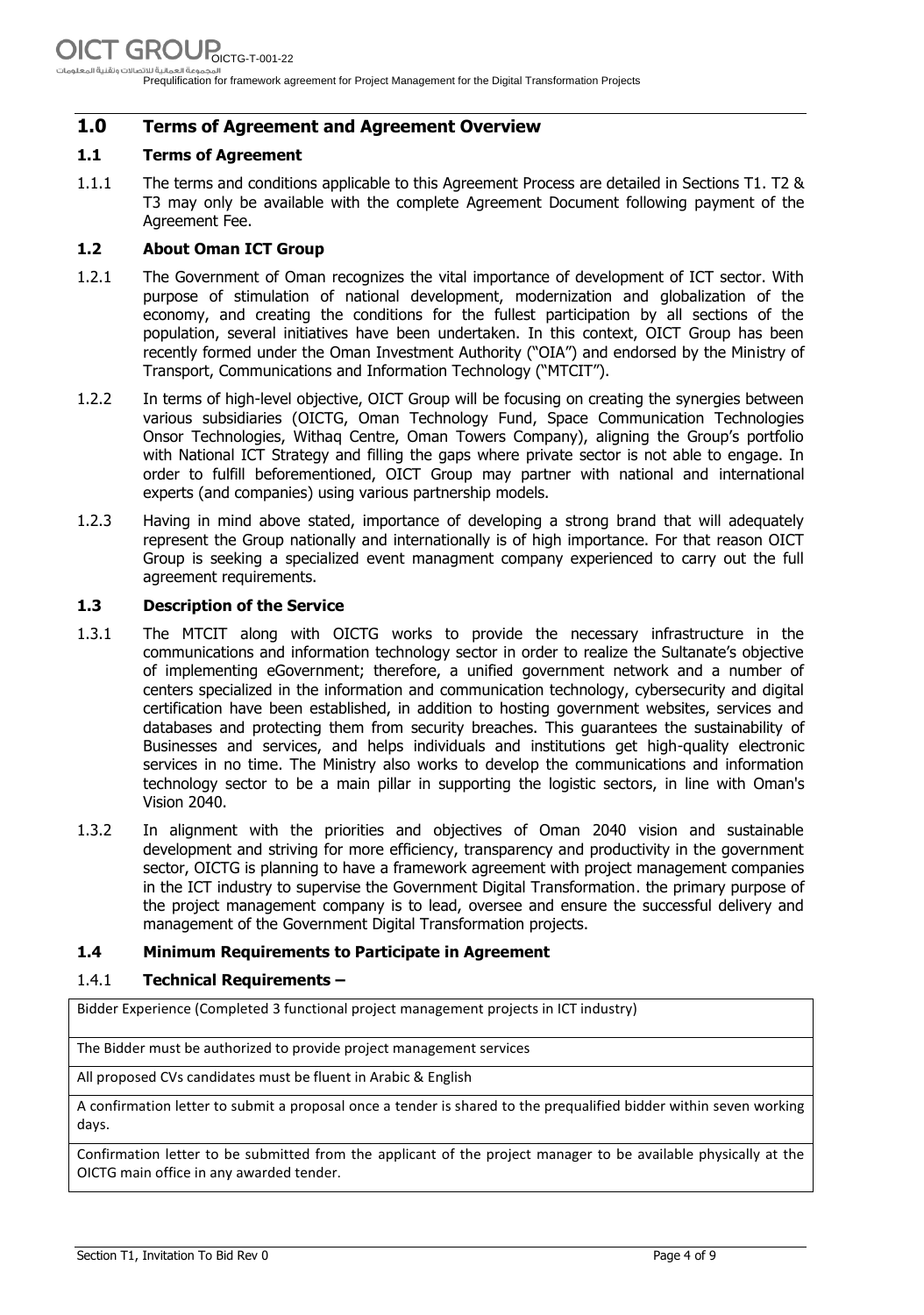Prequlification for framework agreement for Project Management for the Digital Transformation Projects

#### **1.0 Terms of Agreement and Agreement Overview**

#### **1.1 Terms of Agreement**

1.1.1 The terms and conditions applicable to this Agreement Process are detailed in Sections T1. T2 & T3 may only be available with the complete Agreement Document following payment of the Agreement Fee.

#### **1.2 About Oman ICT Group**

- 1.2.1 The Government of Oman recognizes the vital importance of development of ICT sector. With purpose of stimulation of national development, modernization and globalization of the economy, and creating the conditions for the fullest participation by all sections of the population, several initiatives have been undertaken. In this context, OICT Group has been recently formed under the Oman Investment Authority ("OIA") and endorsed by the Ministry of Transport, Communications and Information Technology ("MTCIT").
- 1.2.2 In terms of high-level objective, OICT Group will be focusing on creating the synergies between various subsidiaries (OICTG, Oman Technology Fund, Space Communication Technologies Onsor Technologies, Withaq Centre, Oman Towers Company), aligning the Group's portfolio with National ICT Strategy and filling the gaps where private sector is not able to engage. In order to fulfill beforementioned, OICT Group may partner with national and international experts (and companies) using various partnership models.
- 1.2.3 Having in mind above stated, importance of developing a strong brand that will adequately represent the Group nationally and internationally is of high importance. For that reason OICT Group is seeking a specialized event managment company experienced to carry out the full agreement requirements.

#### **1.3 Description of the Service**

- 1.3.1 The MTCIT along with OICTG works to provide the necessary infrastructure in the communications and information technology sector in order to realize the Sultanate's objective of implementing eGovernment; therefore, a unified government network and a number of centers specialized in the information and communication technology, cybersecurity and digital certification have been established, in addition to hosting government websites, services and databases and protecting them from security breaches. This guarantees the sustainability of Businesses and services, and helps individuals and institutions get high-quality electronic services in no time. The Ministry also works to develop the communications and information technology sector to be a main pillar in supporting the logistic sectors, in line with Oman's Vision 2040.
- 1.3.2 In alignment with the priorities and objectives of Oman 2040 vision and sustainable development and striving for more efficiency, transparency and productivity in the government sector, OICTG is planning to have a framework agreement with project management companies in the ICT industry to supervise the Government Digital Transformation. the primary purpose of the project management company is to lead, oversee and ensure the successful delivery and management of the Government Digital Transformation projects.

#### **1.4 Minimum Requirements to Participate in Agreement**

#### 1.4.1 **Technical Requirements –**

Bidder Experience (Completed 3 functional project management projects in ICT industry)

The Bidder must be authorized to provide project management services

All proposed CVs candidates must be fluent in Arabic & English

A confirmation letter to submit a proposal once a tender is shared to the prequalified bidder within seven working days.

Confirmation letter to be submitted from the applicant of the project manager to be available physically at the OICTG main office in any awarded tender.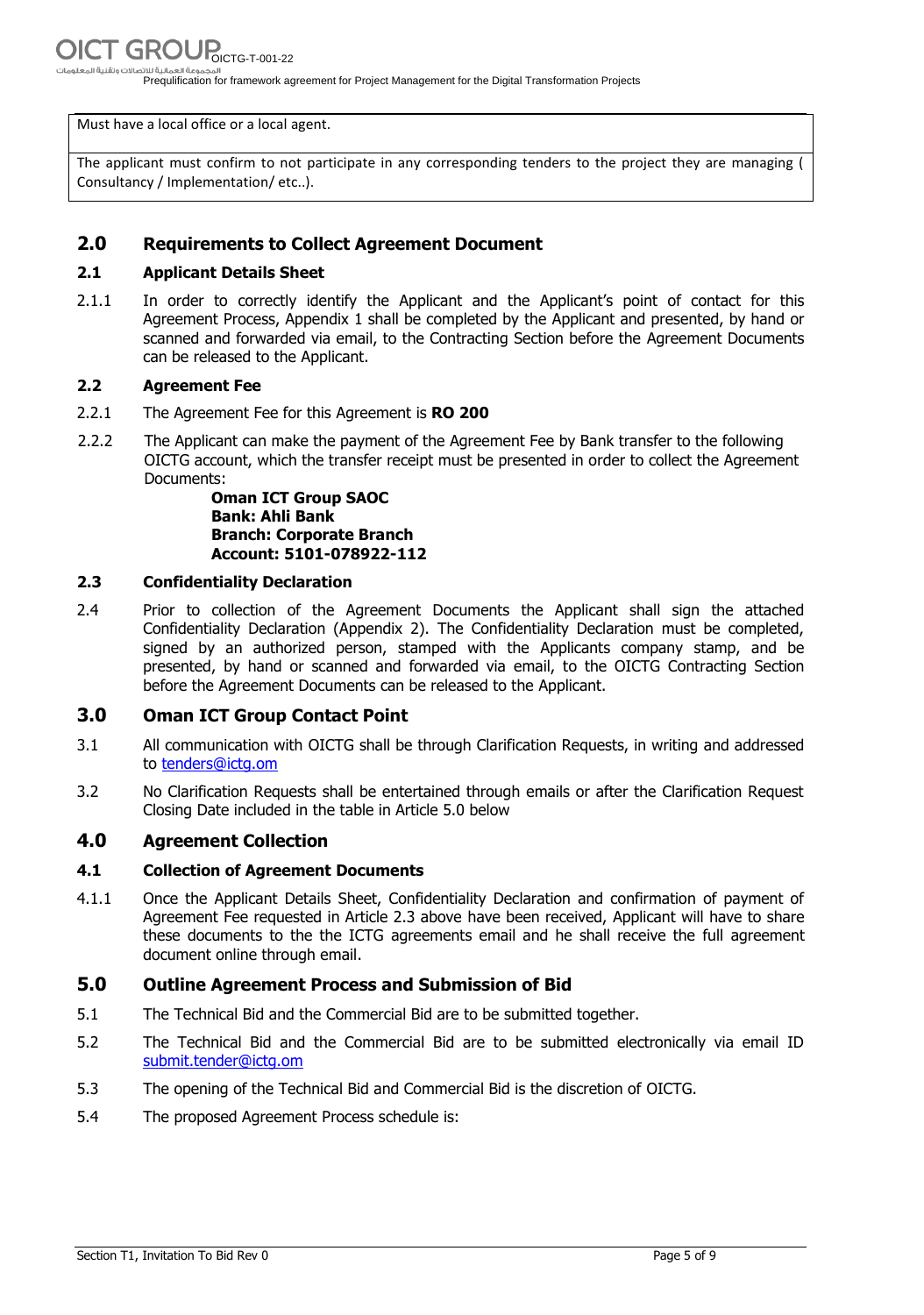Prequlification for framework agreement for Project Management for the Digital Transformation Projects

Must have a local office or a local agent.

The applicant must confirm to not participate in any corresponding tenders to the project they are managing ( Consultancy / Implementation/ etc..).

#### **2.0 Requirements to Collect Agreement Document**

#### **2.1 Applicant Details Sheet**

2.1.1 In order to correctly identify the Applicant and the Applicant's point of contact for this Agreement Process, Appendix 1 shall be completed by the Applicant and presented, by hand or scanned and forwarded via email, to the Contracting Section before the Agreement Documents can be released to the Applicant.

#### **2.2 Agreement Fee**

- 2.2.1 The Agreement Fee for this Agreement is **RO 200**
- 2.2.2 The Applicant can make the payment of the Agreement Fee by Bank transfer to the following OICTG account, which the transfer receipt must be presented in order to collect the Agreement Documents:

**Oman ICT Group SAOC Bank: Ahli Bank Branch: Corporate Branch Account: 5101-078922-112**

#### **2.3 Confidentiality Declaration**

2.4 Prior to collection of the Agreement Documents the Applicant shall sign the attached Confidentiality Declaration (Appendix 2). The Confidentiality Declaration must be completed, signed by an authorized person, stamped with the Applicants company stamp, and be presented, by hand or scanned and forwarded via email, to the OICTG Contracting Section before the Agreement Documents can be released to the Applicant.

#### **3.0 Oman ICT Group Contact Point**

- 3.1 All communication with OICTG shall be through Clarification Requests, in writing and addressed to [tenders@ictg.om](mailto:tenders@ictg.om)
- 3.2 No Clarification Requests shall be entertained through emails or after the Clarification Request Closing Date included in the table in Article [5.0 below](#page-4-0)

#### **4.0 Agreement Collection**

#### **4.1 Collection of Agreement Documents**

4.1.1 Once the Applicant Details Sheet, Confidentiality Declaration and confirmation of payment of Agreement Fee requested in Article 2.3 above have been received, Applicant will have to share these documents to the the ICTG agreements email and he shall receive the full agreement document online through email.

#### <span id="page-4-0"></span>**5.0 Outline Agreement Process and Submission of Bid**

- 5.1 The Technical Bid and the Commercial Bid are to be submitted together.
- 5.2 The Technical Bid and the Commercial Bid are to be submitted electronically via email ID [submit.tender@ictg.om](mailto:submit.tender@ictg.om)
- 5.3 The opening of the Technical Bid and Commercial Bid is the discretion of OICTG.
- 5.4 The proposed Agreement Process schedule is: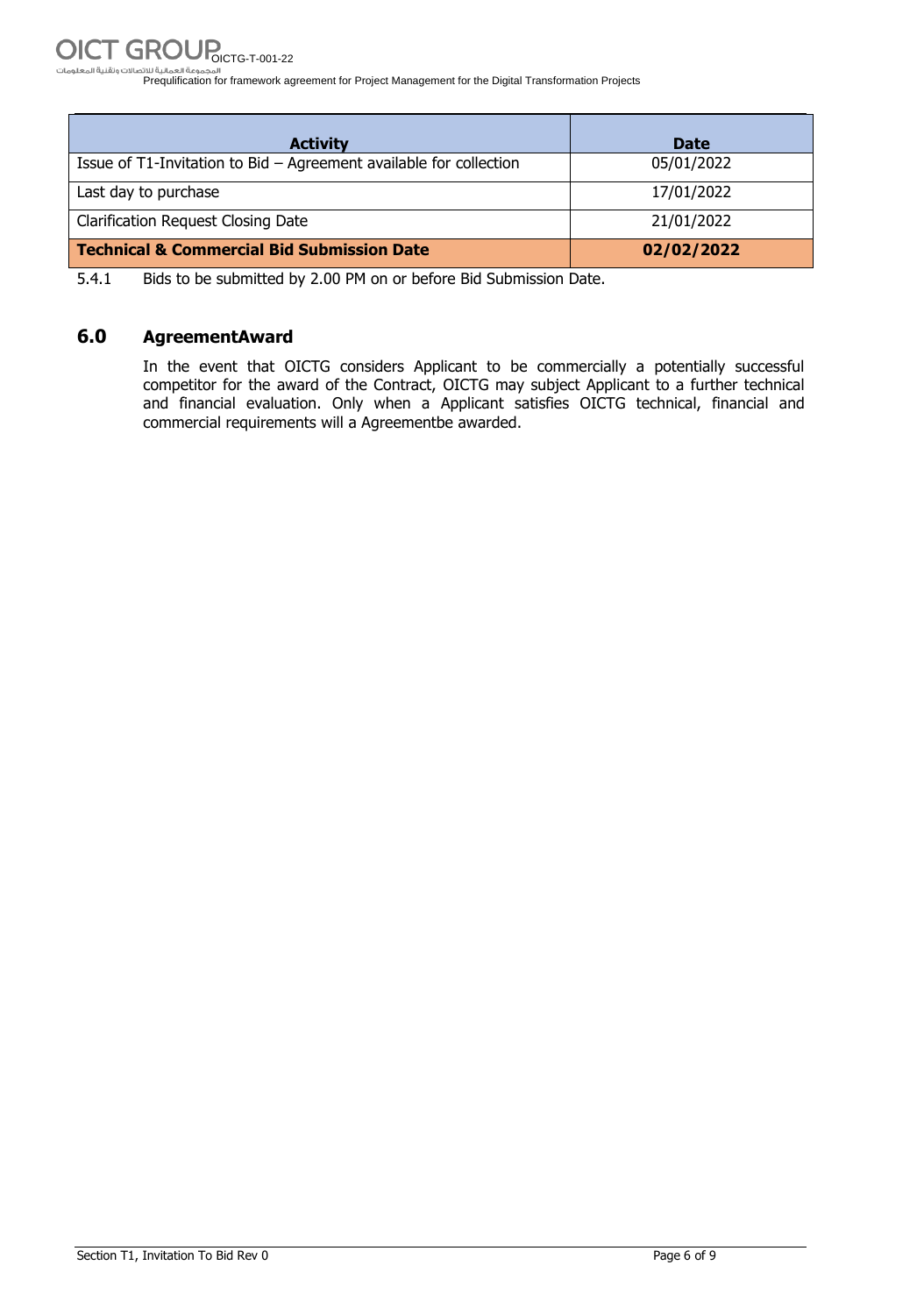Prequlification for framework agreement for Project Management for the Digital Transformation Projects

| <b>Activity</b>                                                    | <b>Date</b> |
|--------------------------------------------------------------------|-------------|
| Issue of T1-Invitation to Bid - Agreement available for collection | 05/01/2022  |
| Last day to purchase                                               | 17/01/2022  |
| <b>Clarification Request Closing Date</b>                          | 21/01/2022  |
| <b>Technical &amp; Commercial Bid Submission Date</b>              | 02/02/2022  |

5.4.1 Bids to be submitted by 2.00 PM on or before Bid Submission Date.

#### **6.0 AgreementAward**

In the event that OICTG considers Applicant to be commercially a potentially successful competitor for the award of the Contract, OICTG may subject Applicant to a further technical and financial evaluation. Only when a Applicant satisfies OICTG technical, financial and commercial requirements will a Agreementbe awarded.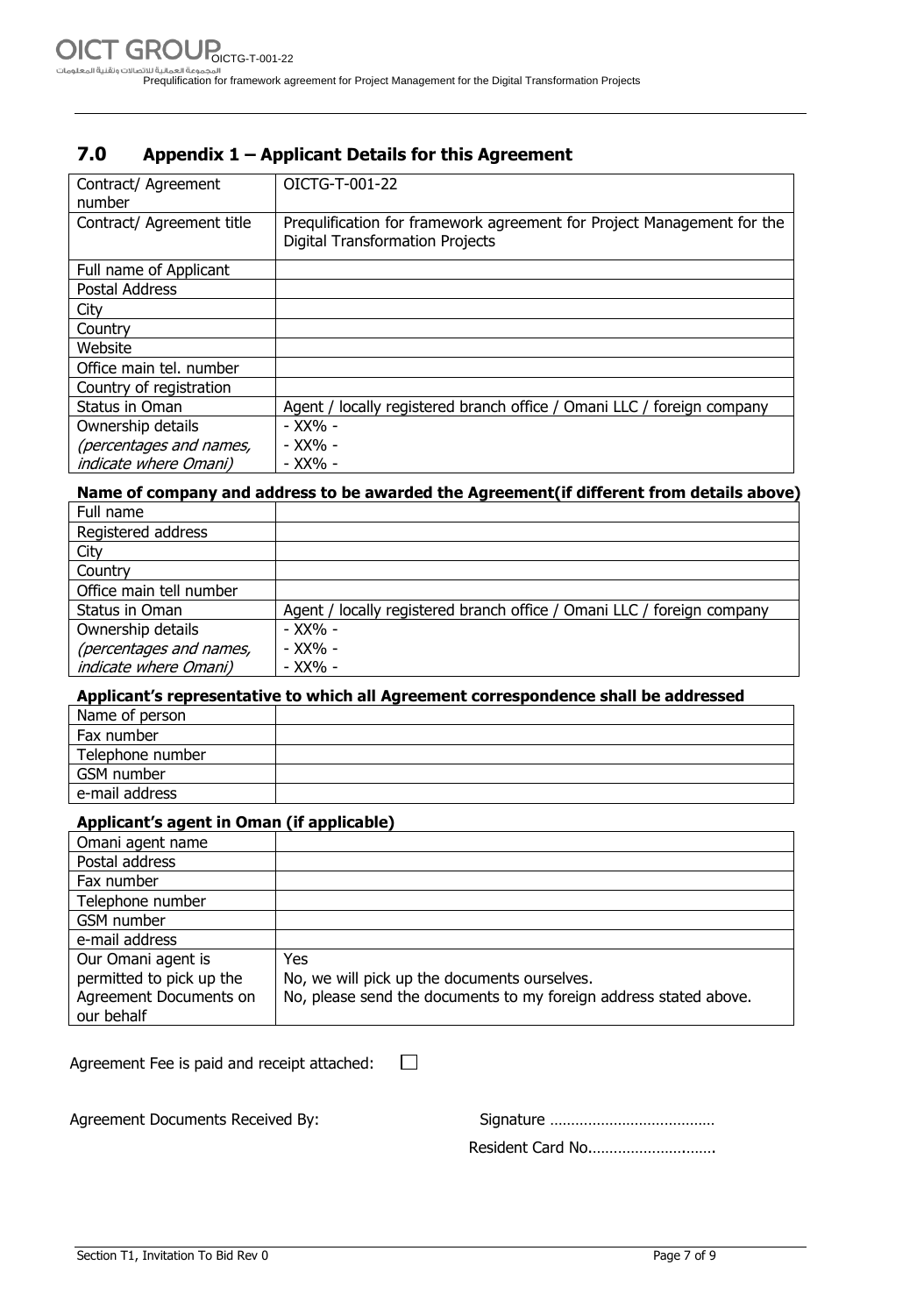#### **7.0 Appendix 1 – Applicant Details for this Agreement**

| Contract/ Agreement<br>number | OICTG-T-001-22                                                                                                   |
|-------------------------------|------------------------------------------------------------------------------------------------------------------|
| Contract/ Agreement title     | Pregulification for framework agreement for Project Management for the<br><b>Digital Transformation Projects</b> |
| Full name of Applicant        |                                                                                                                  |
| Postal Address                |                                                                                                                  |
| City                          |                                                                                                                  |
| Country                       |                                                                                                                  |
| Website                       |                                                                                                                  |
| Office main tel. number       |                                                                                                                  |
| Country of registration       |                                                                                                                  |
| Status in Oman                | Agent / locally registered branch office / Omani LLC / foreign company                                           |
| Ownership details             | - XX% -                                                                                                          |
| (percentages and names,       | - XX% -                                                                                                          |
| <i>indicate where Omani</i> ) | - XX% -                                                                                                          |

#### **Name of company and address to be awarded the Agreement(if different from details above)**

| Full name                     |                                                                        |
|-------------------------------|------------------------------------------------------------------------|
| Registered address            |                                                                        |
| City                          |                                                                        |
| Country                       |                                                                        |
| Office main tell number       |                                                                        |
| Status in Oman                | Agent / locally registered branch office / Omani LLC / foreign company |
| Ownership details             | - XX% -                                                                |
| (percentages and names,       | - XX% -                                                                |
| <i>indicate where Omani</i> ) | - XX% -                                                                |

#### **Applicant's representative to which all Agreement correspondence shall be addressed**

| Name of person   |  |
|------------------|--|
| Fax number       |  |
| Telephone number |  |
| GSM number       |  |
| e-mail address   |  |

#### **Applicant's agent in Oman (if applicable)**

| Omani agent name         |                                                                   |
|--------------------------|-------------------------------------------------------------------|
| Postal address           |                                                                   |
| Fax number               |                                                                   |
| Telephone number         |                                                                   |
| GSM number               |                                                                   |
| e-mail address           |                                                                   |
| Our Omani agent is       | Yes                                                               |
| permitted to pick up the | No, we will pick up the documents ourselves.                      |
| Agreement Documents on   | No, please send the documents to my foreign address stated above. |
| our behalf               |                                                                   |

| Agreement Fee is paid and receipt attached: | $\perp$ |  |
|---------------------------------------------|---------|--|
| Agreement Documents Received By:            |         |  |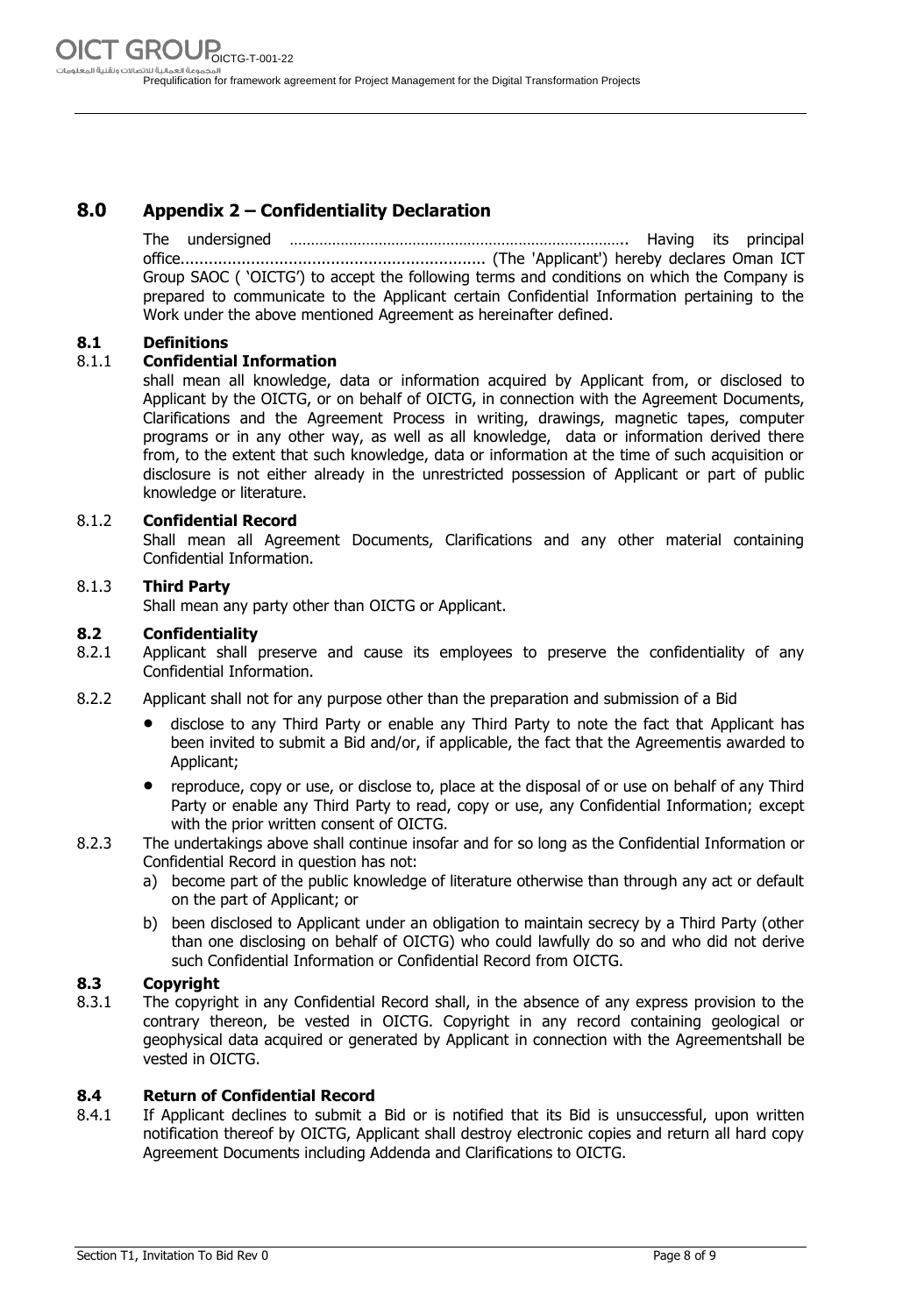#### **8.0 Appendix 2 – Confidentiality Declaration**

The undersigned …………………………………………………………………….. Having its principal office................................................................. (The 'Applicant') hereby declares Oman ICT Group SAOC ( 'OICTG') to accept the following terms and conditions on which the Company is prepared to communicate to the Applicant certain Confidential Information pertaining to the Work under the above mentioned Agreement as hereinafter defined.

#### **8.1 Definitions**

#### 8.1.1 **Confidential Information**

shall mean all knowledge, data or information acquired by Applicant from, or disclosed to Applicant by the OICTG, or on behalf of OICTG, in connection with the Agreement Documents, Clarifications and the Agreement Process in writing, drawings, magnetic tapes, computer programs or in any other way, as well as all knowledge, data or information derived there from, to the extent that such knowledge, data or information at the time of such acquisition or disclosure is not either already in the unrestricted possession of Applicant or part of public knowledge or literature.

#### 8.1.2 **Confidential Record**

Shall mean all Agreement Documents, Clarifications and any other material containing Confidential Information.

#### 8.1.3 **Third Party**

Shall mean any party other than OICTG or Applicant.

#### **8.2 Confidentiality**

- 8.2.1 Applicant shall preserve and cause its employees to preserve the confidentiality of any Confidential Information.
- 8.2.2 Applicant shall not for any purpose other than the preparation and submission of a Bid
	- disclose to any Third Party or enable any Third Party to note the fact that Applicant has been invited to submit a Bid and/or, if applicable, the fact that the Agreementis awarded to Applicant;
	- reproduce, copy or use, or disclose to, place at the disposal of or use on behalf of any Third Party or enable any Third Party to read, copy or use, any Confidential Information; except with the prior written consent of OICTG.
- 8.2.3 The undertakings above shall continue insofar and for so long as the Confidential Information or Confidential Record in question has not:
	- a) become part of the public knowledge of literature otherwise than through any act or default on the part of Applicant; or
	- b) been disclosed to Applicant under an obligation to maintain secrecy by a Third Party (other than one disclosing on behalf of OICTG) who could lawfully do so and who did not derive such Confidential Information or Confidential Record from OICTG.

#### **8.3 Copyright**

8.3.1 The copyright in any Confidential Record shall, in the absence of any express provision to the contrary thereon, be vested in OICTG. Copyright in any record containing geological or geophysical data acquired or generated by Applicant in connection with the Agreementshall be vested in OICTG.

#### **8.4 Return of Confidential Record**

8.4.1 If Applicant declines to submit a Bid or is notified that its Bid is unsuccessful, upon written notification thereof by OICTG, Applicant shall destroy electronic copies and return all hard copy Agreement Documents including Addenda and Clarifications to OICTG.